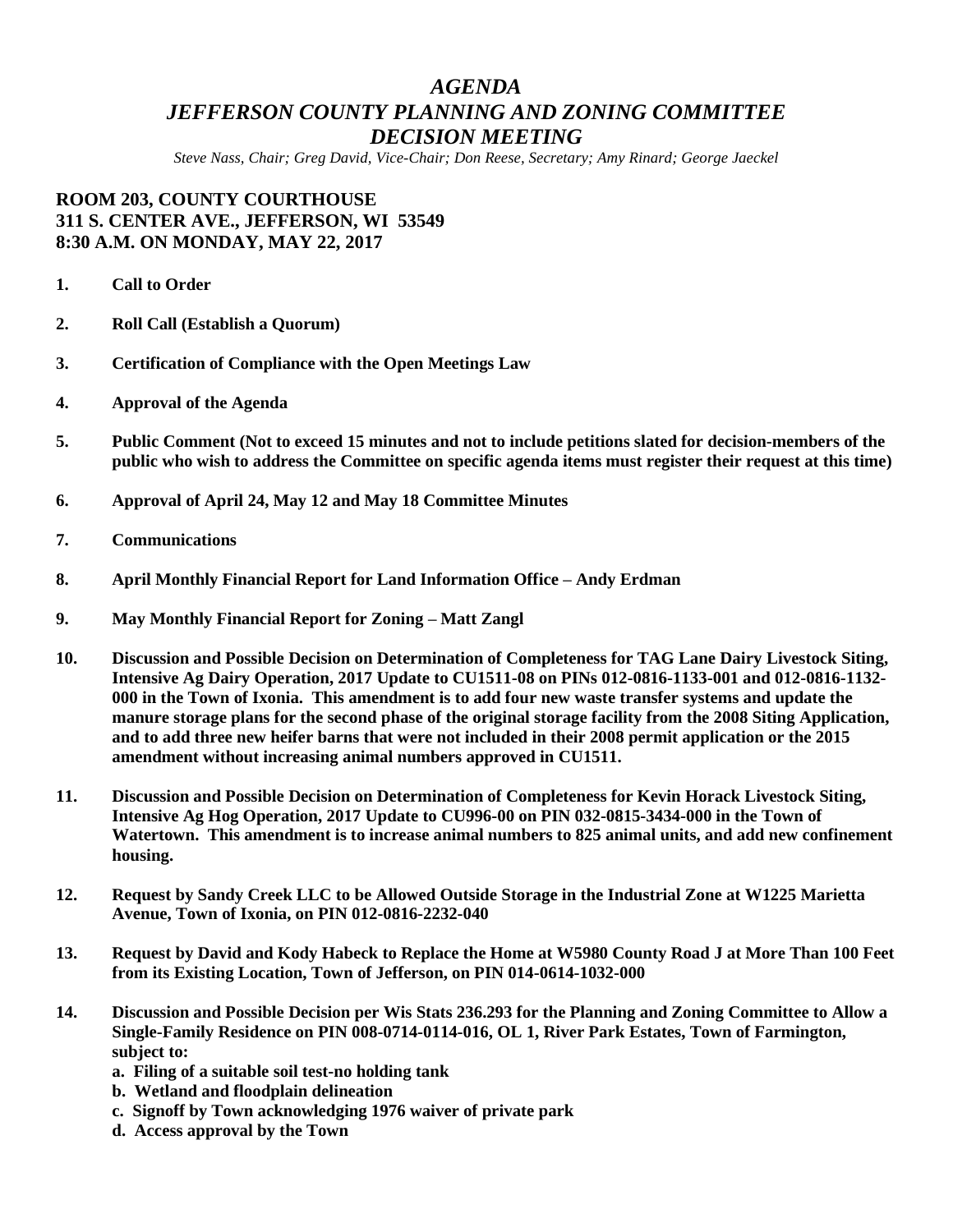## *AGENDA JEFFERSON COUNTY PLANNING AND ZONING COMMITTEE DECISION MEETING*

*Steve Nass, Chair; Greg David, Vice-Chair; Don Reese, Secretary; Amy Rinard; George Jaeckel*

## **ROOM 203, COUNTY COURTHOUSE 311 S. CENTER AVE., JEFFERSON, WI 53549 8:30 A.M. ON MONDAY, MAY 22, 2017**

- **1. Call to Order**
- **2. Roll Call (Establish a Quorum)**
- **3. Certification of Compliance with the Open Meetings Law**
- **4. Approval of the Agenda**
- **5. Public Comment (Not to exceed 15 minutes and not to include petitions slated for decision-members of the public who wish to address the Committee on specific agenda items must register their request at this time)**
- **6. Approval of April 24, May 12 and May 18 Committee Minutes**
- **7. Communications**
- **8. April Monthly Financial Report for Land Information Office – Andy Erdman**
- **9. May Monthly Financial Report for Zoning – Matt Zangl**
- **10. Discussion and Possible Decision on Determination of Completeness for TAG Lane Dairy Livestock Siting, Intensive Ag Dairy Operation, 2017 Update to CU1511-08 on PINs 012-0816-1133-001 and 012-0816-1132- 000 in the Town of Ixonia. This amendment is to add four new waste transfer systems and update the manure storage plans for the second phase of the original storage facility from the 2008 Siting Application, and to add three new heifer barns that were not included in their 2008 permit application or the 2015 amendment without increasing animal numbers approved in CU1511.**
- **11. Discussion and Possible Decision on Determination of Completeness for Kevin Horack Livestock Siting, Intensive Ag Hog Operation, 2017 Update to CU996-00 on PIN 032-0815-3434-000 in the Town of Watertown. This amendment is to increase animal numbers to 825 animal units, and add new confinement housing.**
- **12. Request by Sandy Creek LLC to be Allowed Outside Storage in the Industrial Zone at W1225 Marietta Avenue, Town of Ixonia, on PIN 012-0816-2232-040**
- **13. Request by David and Kody Habeck to Replace the Home at W5980 County Road J at More Than 100 Feet from its Existing Location, Town of Jefferson, on PIN 014-0614-1032-000**
- **14. Discussion and Possible Decision per Wis Stats 236.293 for the Planning and Zoning Committee to Allow a Single-Family Residence on PIN 008-0714-0114-016, OL 1, River Park Estates, Town of Farmington, subject to:**
	- **a. Filing of a suitable soil test-no holding tank**
	- **b. Wetland and floodplain delineation**
	- **c. Signoff by Town acknowledging 1976 waiver of private park**
	- **d. Access approval by the Town**